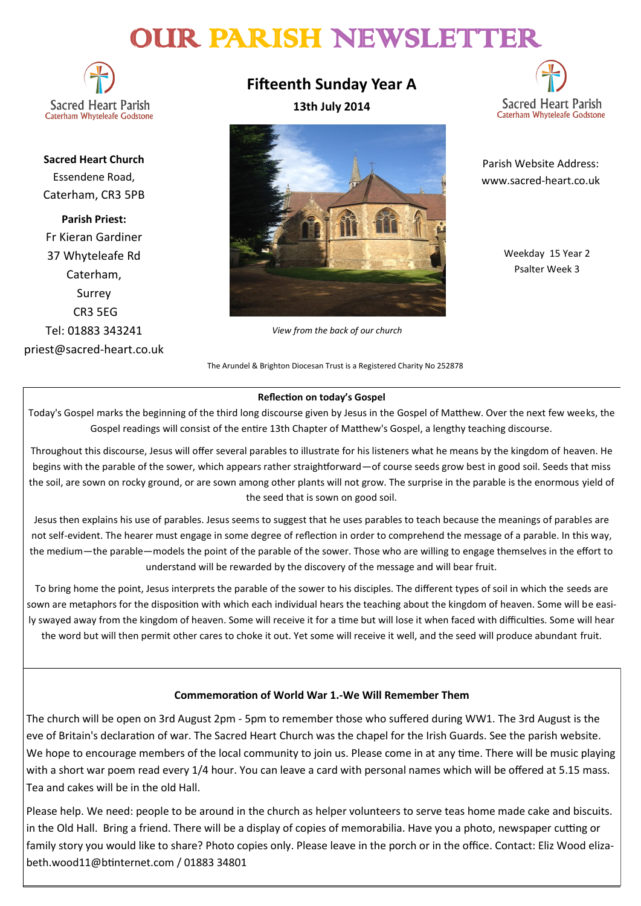# OUR PARISH NEWSLETTER

**Sacred Heart Parish** Caterham Whyteleafe Godstone

**Sacred Heart Church** Essendene Road, Caterham, CR3 5PB

**Parish Priest:** Fr Kieran Gardiner 37 Whyteleafe Rd Caterham, Surrey CR3 5EG Tel: 01883 343241 priest@sacred-heart.co.uk **Fifteenth Sunday Year A 13th July 2014**



*View from the back of our church*

www.sacred-heart.co.uk

Parish Website Address:

**Sacred Heart Parish** 

Caterham Whyteleafe Godstone

Weekday 15 Year 2 Psalter Week 3

#### The Arundel & Brighton Diocesan Trust is a Registered Charity No 252878

#### **Reflection on today's Gospel**

Today's Gospel marks the beginning of the third long discourse given by Jesus in the Gospel of Matthew. Over the next few weeks, the Gospel readings will consist of the entire 13th Chapter of Matthew's Gospel, a lengthy teaching discourse.

Throughout this discourse, Jesus will offer several parables to illustrate for his listeners what he means by the kingdom of heaven. He begins with the parable of the sower, which appears rather straightforward—of course seeds grow best in good soil. Seeds that miss the soil, are sown on rocky ground, or are sown among other plants will not grow. The surprise in the parable is the enormous yield of the seed that is sown on good soil.

Jesus then explains his use of parables. Jesus seems to suggest that he uses parables to teach because the meanings of parables are not self-evident. The hearer must engage in some degree of reflection in order to comprehend the message of a parable. In this way, the medium—the parable—models the point of the parable of the sower. Those who are willing to engage themselves in the effort to understand will be rewarded by the discovery of the message and will bear fruit.

To bring home the point, Jesus interprets the parable of the sower to his disciples. The different types of soil in which the seeds are sown are metaphors for the disposition with which each individual hears the teaching about the kingdom of heaven. Some will be easily swayed away from the kingdom of heaven. Some will receive it for a time but will lose it when faced with difficulties. Some will hear the word but will then permit other cares to choke it out. Yet some will receive it well, and the seed will produce abundant fruit.

#### **Commemoration of World War 1.-We Will Remember Them**

The church will be open on 3rd August 2pm - 5pm to remember those who suffered during WW1. The 3rd August is the eve of Britain's declaration of war. The Sacred Heart Church was the chapel for the Irish Guards. See the parish website. We hope to encourage members of the local community to join us. Please come in at any time. There will be music playing with a short war poem read every 1/4 hour. You can leave a card with personal names which will be offered at 5.15 mass. Tea and cakes will be in the old Hall.

Please help. We need: people to be around in the church as helper volunteers to serve teas home made cake and biscuits. in the Old Hall. Bring a friend. There will be a display of copies of memorabilia. Have you a photo, newspaper cutting or family story you would like to share? Photo copies only. Please leave in the porch or in the office. Contact: Eliz Wood elizabeth.wood11@btinternet.com / 01883 34801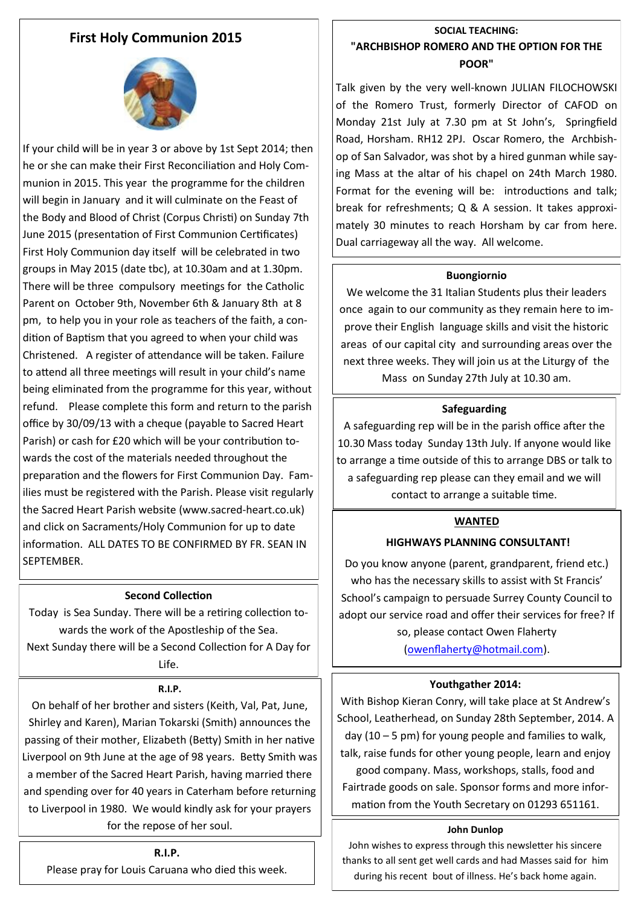## **First Holy Communion 2015**



If your child will be in year 3 or above by 1st Sept 2014; then he or she can make their First Reconciliation and Holy Communion in 2015. This year the programme for the children will begin in January and it will culminate on the Feast of the Body and Blood of Christ (Corpus Christi) on Sunday 7th June 2015 (presentation of First Communion Certificates) First Holy Communion day itself will be celebrated in two groups in May 2015 (date tbc), at 10.30am and at 1.30pm. There will be three compulsory meetings for the Catholic Parent on October 9th, November 6th & January 8th at 8 pm, to help you in your role as teachers of the faith, a condition of Baptism that you agreed to when your child was Christened. A register of attendance will be taken. Failure to attend all three meetings will result in your child's name being eliminated from the programme for this year, without refund. Please complete this form and return to the parish office by 30/09/13 with a cheque (payable to Sacred Heart Parish) or cash for £20 which will be your contribution towards the cost of the materials needed throughout the preparation and the flowers for First Communion Day. Families must be registered with the Parish. Please visit regularly the Sacred Heart Parish website (www.sacred-heart.co.uk) and click on Sacraments/Holy Communion for up to date information. ALL DATES TO BE CONFIRMED BY FR. SEAN IN SEPTEMBER.

#### **Second Collection**

Today is Sea Sunday. There will be a retiring collection towards the work of the Apostleship of the Sea. Next Sunday there will be a Second Collection for A Day for Life.

#### **R.I.P.**

On behalf of her brother and sisters (Keith, Val, Pat, June, Shirley and Karen), Marian Tokarski (Smith) announces the passing of their mother, Elizabeth (Betty) Smith in her native Liverpool on 9th June at the age of 98 years. Betty Smith was a member of the Sacred Heart Parish, having married there and spending over for 40 years in Caterham before returning to Liverpool in 1980. We would kindly ask for your prayers for the repose of her soul.

**R.I.P.** Please pray for Louis Caruana who died this week.

## **SOCIAL TEACHING: "ARCHBISHOP ROMERO AND THE OPTION FOR THE POOR"**

Talk given by the very well-known JULIAN FILOCHOWSKI of the Romero Trust, formerly Director of CAFOD on Monday 21st July at 7.30 pm at St John's, Springfield Road, Horsham. RH12 2PJ. Oscar Romero, the Archbishop of San Salvador, was shot by a hired gunman while saying Mass at the altar of his chapel on 24th March 1980. Format for the evening will be: introductions and talk; break for refreshments; Q & A session. It takes approximately 30 minutes to reach Horsham by car from here. Dual carriageway all the way. All welcome.

#### **Buongiornio**

We welcome the 31 Italian Students plus their leaders once again to our community as they remain here to improve their English language skills and visit the historic areas of our capital city and surrounding areas over the next three weeks. They will join us at the Liturgy of the Mass on Sunday 27th July at 10.30 am.

#### **Safeguarding**

A safeguarding rep will be in the parish office after the 10.30 Mass today Sunday 13th July. If anyone would like to arrange a time outside of this to arrange DBS or talk to a safeguarding rep please can they email and we will contact to arrange a suitable time.

#### **WANTED**

#### **HIGHWAYS PLANNING CONSULTANT!**

Do you know anyone (parent, grandparent, friend etc.) who has the necessary skills to assist with St Francis' School's campaign to persuade Surrey County Council to adopt our service road and offer their services for free? If so, please contact Owen Flaherty ([owenflaherty@hotmail.com\)](mailto:owenflaherty@hotmail.com).

#### **Youthgather 2014:**

With Bishop Kieran Conry, will take place at St Andrew's School, Leatherhead, on Sunday 28th September, 2014. A day (10 – 5 pm) for young people and families to walk, talk, raise funds for other young people, learn and enjoy good company. Mass, workshops, stalls, food and Fairtrade goods on sale. Sponsor forms and more information from the Youth Secretary on 01293 651161.

#### **John Dunlop**

John wishes to express through this newsletter his sincere thanks to all sent get well cards and had Masses said for him during his recent bout of illness. He's back home again.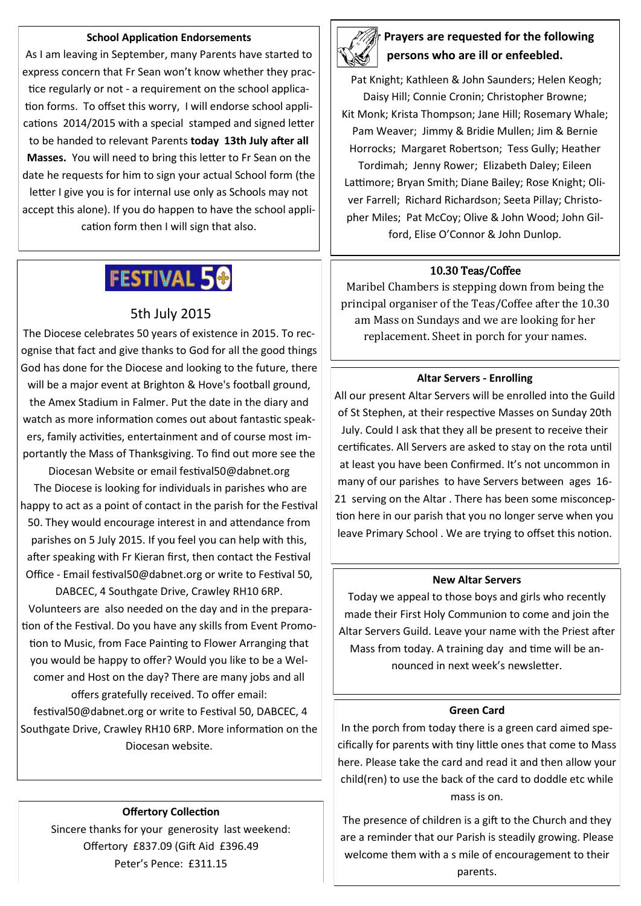#### **School Application Endorsements**

As I am leaving in September, many Parents have started to express concern that Fr Sean won't know whether they practice regularly or not - a requirement on the school application forms. To offset this worry, I will endorse school applications 2014/2015 with a special stamped and signed letter to be handed to relevant Parents **today 13th July after all Masses.** You will need to bring this letter to Fr Sean on the date he requests for him to sign your actual School form (the letter I give you is for internal use only as Schools may not accept this alone). If you do happen to have the school application form then I will sign that also.

## FESTIVAL 50

### 5th July 2015

The Diocese celebrates 50 years of existence in 2015. To recognise that fact and give thanks to God for all the good things God has done for the Diocese and looking to the future, there will be a major event at Brighton & Hove's football ground, the Amex Stadium in Falmer. Put the date in the diary and watch as more information comes out about fantastic speakers, family activities, entertainment and of course most importantly the Mass of Thanksgiving. To find out more see the

Diocesan Website or email festival50@dabnet.org The Diocese is looking for individuals in parishes who are happy to act as a point of contact in the parish for the Festival 50. They would encourage interest in and attendance from parishes on 5 July 2015. If you feel you can help with this, after speaking with Fr Kieran first, then contact the Festival Office - Email festival50@dabnet.org or write to Festival 50,

DABCEC, 4 Southgate Drive, Crawley RH10 6RP. Volunteers are also needed on the day and in the preparation of the Festival. Do you have any skills from Event Promotion to Music, from Face Painting to Flower Arranging that you would be happy to offer? Would you like to be a Welcomer and Host on the day? There are many jobs and all

offers gratefully received. To offer email: festival50@dabnet.org or write to Festival 50, DABCEC, 4 Southgate Drive, Crawley RH10 6RP. More information on the Diocesan website.

#### **Offertory Collection**

Sincere thanks for your generosity last weekend: Offertory £837.09 (Gift Aid £396.49 Peter's Pence: £311.15



## **Prayers are requested for the following persons who are ill or enfeebled.**

Pat Knight; Kathleen & John Saunders; Helen Keogh; Daisy Hill; Connie Cronin; Christopher Browne; Kit Monk; Krista Thompson; Jane Hill; Rosemary Whale; Pam Weaver; Jimmy & Bridie Mullen; Jim & Bernie Horrocks; Margaret Robertson; Tess Gully; Heather Tordimah; Jenny Rower; Elizabeth Daley; Eileen Lattimore; Bryan Smith; Diane Bailey; Rose Knight; Oliver Farrell; Richard Richardson; Seeta Pillay; Christopher Miles; Pat McCoy; Olive & John Wood; John Gilford, Elise O'Connor & John Dunlop.

#### 10.30 Teas/Coffee

Maribel Chambers is stepping down from being the principal organiser of the Teas/Coffee after the 10.30 am Mass on Sundays and we are looking for her replacement. Sheet in porch for your names.

#### **Altar Servers - Enrolling**

All our present Altar Servers will be enrolled into the Guild of St Stephen, at their respective Masses on Sunday 20th July. Could I ask that they all be present to receive their certificates. All Servers are asked to stay on the rota until at least you have been Confirmed. It's not uncommon in many of our parishes to have Servers between ages 16- 21 serving on the Altar . There has been some misconception here in our parish that you no longer serve when you leave Primary School . We are trying to offset this notion.

#### **New Altar Servers**

Today we appeal to those boys and girls who recently made their First Holy Communion to come and join the Altar Servers Guild. Leave your name with the Priest after Mass from today. A training day and time will be announced in next week's newsletter.

#### **Green Card**

In the porch from today there is a green card aimed specifically for parents with tiny little ones that come to Mass here. Please take the card and read it and then allow your child(ren) to use the back of the card to doddle etc while mass is on.

The presence of children is a gift to the Church and they are a reminder that our Parish is steadily growing. Please welcome them with a s mile of encouragement to their parents.